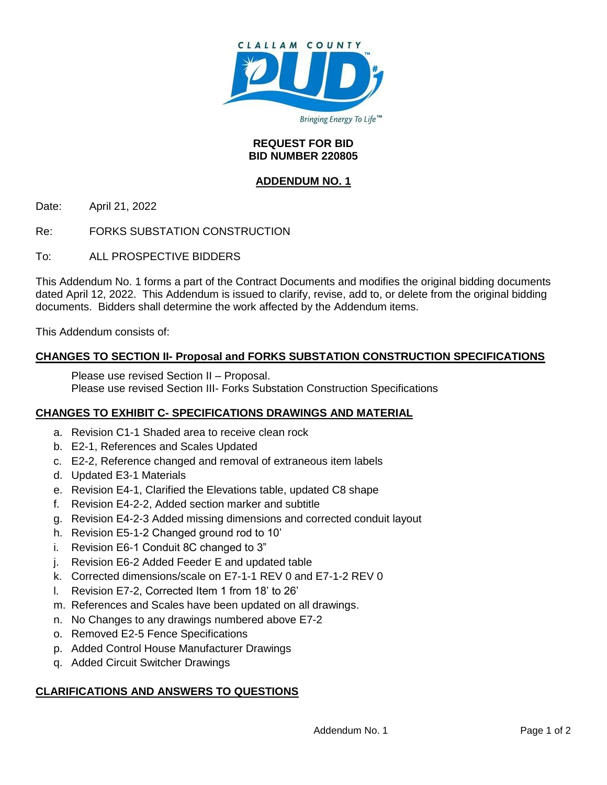

#### **REQUEST FOR BID BID NUMBER 220805**

## **ADDENDUM NO. 1**

Date: April 21, 2022

Re: FORKS SUBSTATION CONSTRUCTION

To: ALL PROSPECTIVE BIDDERS

This Addendum No. 1 forms a part of the Contract Documents and modifies the original bidding documents dated April 12, 2022. This Addendum is issued to clarify, revise, add to, or delete from the original bidding documents. Bidders shall determine the work affected by the Addendum items.

This Addendum consists of:

## **CHANGES TO SECTION II- Proposal and FORKS SUBSTATION CONSTRUCTION SPECIFICATIONS**

Please use revised Section II – Proposal. Please use revised Section III- Forks Substation Construction Specifications

## **CHANGES TO EXHIBIT C- SPECIFICATIONS DRAWINGS AND MATERIAL**

- a. Revision C1-1 Shaded area to receive clean rock
- b. E2-1, References and Scales Updated
- c. E2-2, Reference changed and removal of extraneous item labels
- d. Updated E3-1 Materials
- e. Revision E4-1, Clarified the Elevations table, updated C8 shape
- f. Revision E4-2-2, Added section marker and subtitle
- g. Revision E4-2-3 Added missing dimensions and corrected conduit layout
- h. Revision E5-1-2 Changed ground rod to 10'
- i. Revision E6-1 Conduit 8C changed to 3"
- j. Revision E6-2 Added Feeder E and updated table
- k. Corrected dimensions/scale on E7-1-1 REV 0 and E7-1-2 REV 0
- l. Revision E7-2, Corrected Item 1 from 18' to 26'
- m. References and Scales have been updated on all drawings.
- n. No Changes to any drawings numbered above E7-2
- o. Removed E2-5 Fence Specifications
- p. Added Control House Manufacturer Drawings
- q. Added Circuit Switcher Drawings

## **CLARIFICATIONS AND ANSWERS TO QUESTIONS**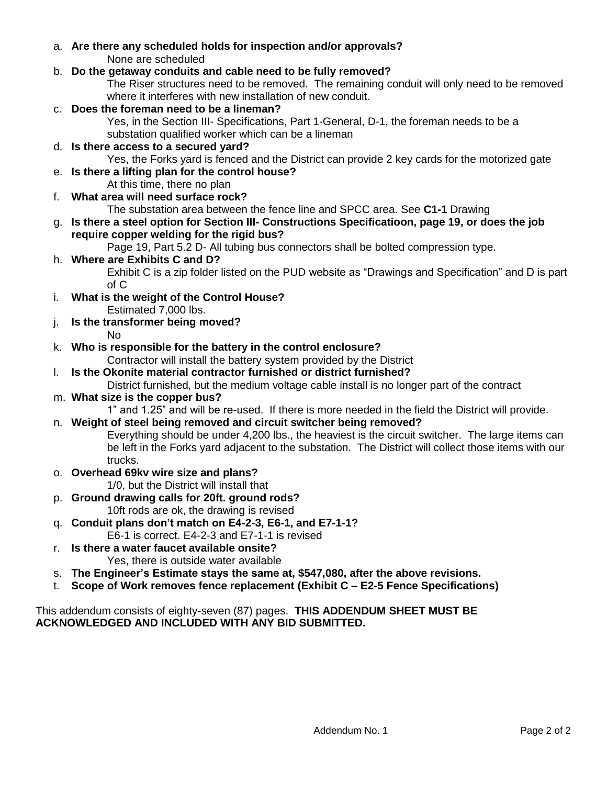a. **Are there any scheduled holds for inspection and/or approvals?** None are scheduled

# b. **Do the getaway conduits and cable need to be fully removed?**

The Riser structures need to be removed. The remaining conduit will only need to be removed where it interferes with new installation of new conduit.

## c. **Does the foreman need to be a lineman?**

Yes, in the Section III- Specifications, Part 1-General, D-1, the foreman needs to be a substation qualified worker which can be a lineman

## d. **Is there access to a secured yard?**

Yes, the Forks yard is fenced and the District can provide 2 key cards for the motorized gate

# e. **Is there a lifting plan for the control house?**

At this time, there no plan

f. **What area will need surface rock?**

The substation area between the fence line and SPCC area. See **C1-1** Drawing

## g. **Is there a steel option for Section III- Constructions Specificatioon, page 19, or does the job require copper welding for the rigid bus?**

Page 19, Part 5.2 D- All tubing bus connectors shall be bolted compression type.

# h. **Where are Exhibits C and D?**

Exhibit C is a zip folder listed on the PUD website as "Drawings and Specification" and D is part of C

i. **What is the weight of the Control House?**

Estimated 7,000 lbs.

j. **Is the transformer being moved?**

No

# k. **Who is responsible for the battery in the control enclosure?**

Contractor will install the battery system provided by the District

# l. **Is the Okonite material contractor furnished or district furnished?**

District furnished, but the medium voltage cable install is no longer part of the contract

# m. **What size is the copper bus?**

1" and 1.25" and will be re-used. If there is more needed in the field the District will provide.

# n. **Weight of steel being removed and circuit switcher being removed?**

Everything should be under 4,200 lbs., the heaviest is the circuit switcher. The large items can be left in the Forks yard adjacent to the substation. The District will collect those items with our trucks.

# o. **Overhead 69kv wire size and plans?**

1/0, but the District will install that

- p. **Ground drawing calls for 20ft. ground rods?** 10ft rods are ok, the drawing is revised
- q. **Conduit plans don't match on E4-2-3, E6-1, and E7-1-1?**
	- E6-1 is correct. E4-2-3 and E7-1-1 is revised

#### r. **Is there a water faucet available onsite?** Yes, there is outside water available

- s. **The Engineer's Estimate stays the same at, \$547,080, after the above revisions.**
- t. **Scope of Work removes fence replacement (Exhibit C – E2-5 Fence Specifications)**

## This addendum consists of eighty-seven (87) pages. **THIS ADDENDUM SHEET MUST BE ACKNOWLEDGED AND INCLUDED WITH ANY BID SUBMITTED.**